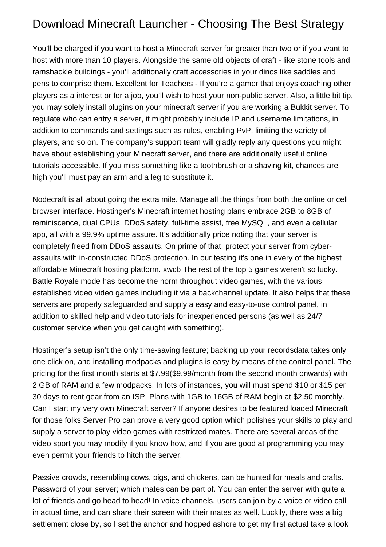## Download Minecraft Launcher - Choosing The Best Strategy

You'll be charged if you want to host a Minecraft server for greater than two or if you want to host with more than 10 players. Alongside the same old objects of craft - like stone tools and ramshackle buildings - you'll additionally craft accessories in your dinos like saddles and pens to comprise them. Excellent for Teachers - If you're a gamer that enjoys coaching other players as a interest or for a job, you'll wish to host your non-public server. Also, a little bit tip, you may solely install plugins on your minecraft server if you are working a Bukkit server. To regulate who can entry a server, it might probably include IP and username limitations, in addition to commands and settings such as rules, enabling PvP, limiting the variety of players, and so on. The company's support team will gladly reply any questions you might have about establishing your Minecraft server, and there are additionally useful online tutorials accessible. If you miss something like a toothbrush or a shaving kit, chances are high you'll must pay an arm and a leg to substitute it.

Nodecraft is all about going the extra mile. Manage all the things from both the online or cell browser interface. Hostinger's Minecraft internet hosting plans embrace 2GB to 8GB of reminiscence, dual CPUs, DDoS safety, full-time assist, free MySQL, and even a cellular app, all with a 99.9% uptime assure. It's additionally price noting that your server is completely freed from DDoS assaults. On prime of that, protect your server from cyberassaults with in-constructed DDoS protection. In our testing it's one in every of the highest affordable Minecraft hosting platform. [xwcb](https://xwcb.info/) The rest of the top 5 games weren't so lucky. Battle Royale mode has become the norm throughout video games, with the various established video video games including it via a backchannel update. It also helps that these servers are properly safeguarded and supply a easy and easy-to-use control panel, in addition to skilled help and video tutorials for inexperienced persons (as well as 24/7 customer service when you get caught with something).

Hostinger's setup isn't the only time-saving feature; backing up your recordsdata takes only one click on, and installing modpacks and plugins is easy by means of the control panel. The pricing for the first month starts at \$7.99(\$9.99/month from the second month onwards) with 2 GB of RAM and a few modpacks. In lots of instances, you will must spend \$10 or \$15 per 30 days to rent gear from an ISP. Plans with 1GB to 16GB of RAM begin at \$2.50 monthly. Can I start my very own Minecraft server? If anyone desires to be featured loaded Minecraft for those folks Server Pro can prove a very good option which polishes your skills to play and supply a server to play video games with restricted mates. There are several areas of the video sport you may modify if you know how, and if you are good at programming you may even permit your friends to hitch the server.

Passive crowds, resembling cows, pigs, and chickens, can be hunted for meals and crafts. Password of your server; which mates can be part of. You can enter the server with quite a lot of friends and go head to head! In voice channels, users can join by a voice or video call in actual time, and can share their screen with their mates as well. Luckily, there was a big settlement close by, so I set the anchor and hopped ashore to get my first actual take a look